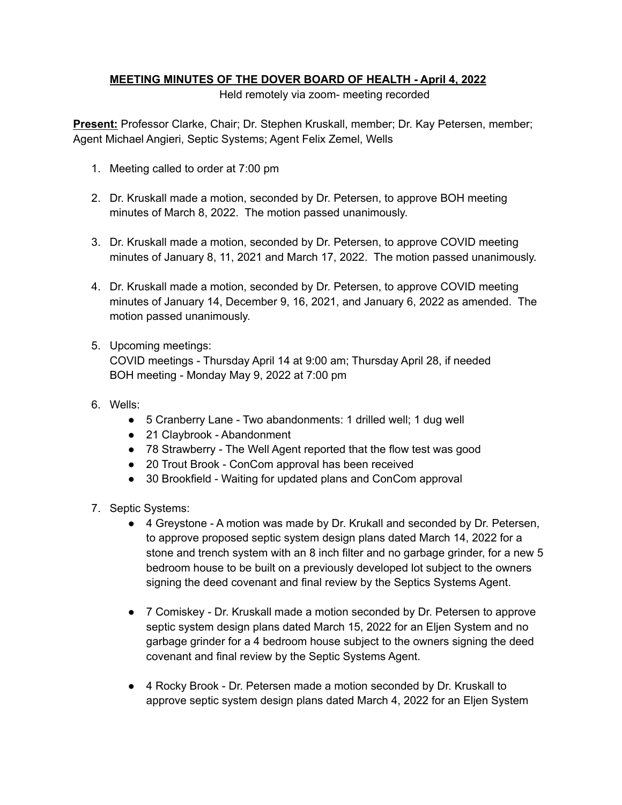## **MEETING MINUTES OF THE DOVER BOARD OF HEALTH - April 4, 2022**

Held remotely via zoom- meeting recorded

**Present:** Professor Clarke, Chair; Dr. Stephen Kruskall, member; Dr. Kay Petersen, member; Agent Michael Angieri, Septic Systems; Agent Felix Zemel, Wells

- 1. Meeting called to order at 7:00 pm
- 2. Dr. Kruskall made a motion, seconded by Dr. Petersen, to approve BOH meeting minutes of March 8, 2022. The motion passed unanimously.
- 3. Dr. Kruskall made a motion, seconded by Dr. Petersen, to approve COVID meeting minutes of January 8, 11, 2021 and March 17, 2022. The motion passed unanimously.
- 4. Dr. Kruskall made a motion, seconded by Dr. Petersen, to approve COVID meeting minutes of January 14, December 9, 16, 2021, and January 6, 2022 as amended. The motion passed unanimously.
- 5. Upcoming meetings:

COVID meetings - Thursday April 14 at 9:00 am; Thursday April 28, if needed BOH meeting - Monday May 9, 2022 at 7:00 pm

- 6. Wells:
	- 5 Cranberry Lane Two abandonments: 1 drilled well; 1 dug well
	- 21 Claybrook Abandonment
	- 78 Strawberry The Well Agent reported that the flow test was good
	- 20 Trout Brook ConCom approval has been received
	- 30 Brookfield Waiting for updated plans and ConCom approval
- 7. Septic Systems:
	- 4 Greystone A motion was made by Dr. Krukall and seconded by Dr. Petersen, to approve proposed septic system design plans dated March 14, 2022 for a stone and trench system with an 8 inch filter and no garbage grinder, for a new 5 bedroom house to be built on a previously developed lot subject to the owners signing the deed covenant and final review by the Septics Systems Agent.
	- 7 Comiskey Dr. Kruskall made a motion seconded by Dr. Petersen to approve septic system design plans dated March 15, 2022 for an Eljen System and no garbage grinder for a 4 bedroom house subject to the owners signing the deed covenant and final review by the Septic Systems Agent.
	- 4 Rocky Brook Dr. Petersen made a motion seconded by Dr. Kruskall to approve septic system design plans dated March 4, 2022 for an Eljen System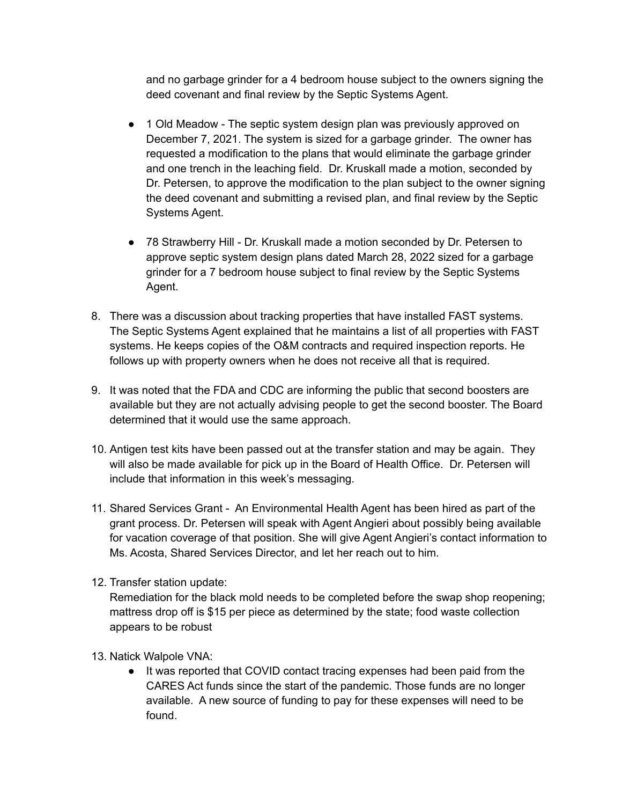and no garbage grinder for a 4 bedroom house subject to the owners signing the deed covenant and final review by the Septic Systems Agent.

- 1 Old Meadow The septic system design plan was previously approved on December 7, 2021. The system is sized for a garbage grinder. The owner has requested a modification to the plans that would eliminate the garbage grinder and one trench in the leaching field. Dr. Kruskall made a motion, seconded by Dr. Petersen, to approve the modification to the plan subject to the owner signing the deed covenant and submitting a revised plan, and final review by the Septic Systems Agent.
- 78 Strawberry Hill Dr. Kruskall made a motion seconded by Dr. Petersen to approve septic system design plans dated March 28, 2022 sized for a garbage grinder for a 7 bedroom house subject to final review by the Septic Systems Agent.
- 8. There was a discussion about tracking properties that have installed FAST systems. The Septic Systems Agent explained that he maintains a list of all properties with FAST systems. He keeps copies of the O&M contracts and required inspection reports. He follows up with property owners when he does not receive all that is required.
- 9. It was noted that the FDA and CDC are informing the public that second boosters are available but they are not actually advising people to get the second booster. The Board determined that it would use the same approach.
- 10. Antigen test kits have been passed out at the transfer station and may be again. They will also be made available for pick up in the Board of Health Office. Dr. Petersen will include that information in this week's messaging.
- 11. Shared Services Grant An Environmental Health Agent has been hired as part of the grant process. Dr. Petersen will speak with Agent Angieri about possibly being available for vacation coverage of that position. She will give Agent Angieri's contact information to Ms. Acosta, Shared Services Director, and let her reach out to him.
- 12. Transfer station update:

Remediation for the black mold needs to be completed before the swap shop reopening; mattress drop off is \$15 per piece as determined by the state; food waste collection appears to be robust

- 13. Natick Walpole VNA:
	- It was reported that COVID contact tracing expenses had been paid from the CARES Act funds since the start of the pandemic. Those funds are no longer available. A new source of funding to pay for these expenses will need to be found.